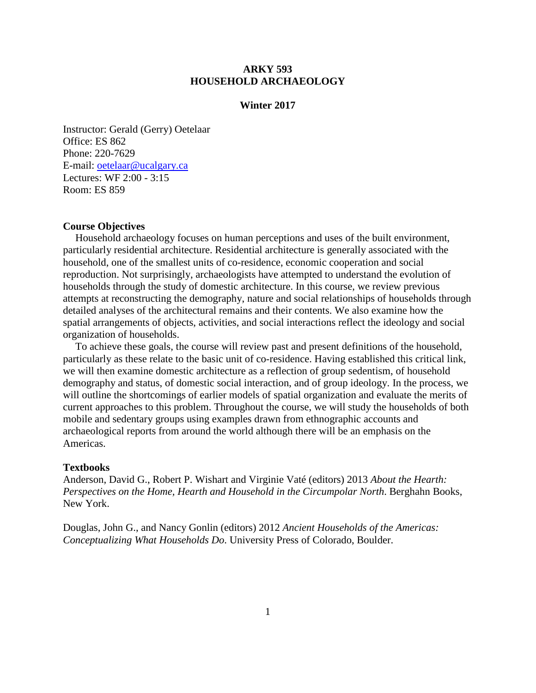## **ARKY 593 HOUSEHOLD ARCHAEOLOGY**

### **Winter 2017**

Instructor: Gerald (Gerry) Oetelaar Office: ES 862 Phone: 220-7629 E-mail: oetelaar@ucalgary.ca Lectures: WF 2:00 - 3:15 Room: ES 859

## **Course Objectives**

Household archaeology focuses on human perceptions and uses of the built environment, particularly residential architecture. Residential architecture is generally associated with the household, one of the smallest units of co-residence, economic cooperation and social reproduction. Not surprisingly, archaeologists have attempted to understand the evolution of households through the study of domestic architecture. In this course, we review previous attempts at reconstructing the demography, nature and social relationships of households through detailed analyses of the architectural remains and their contents. We also examine how the spatial arrangements of objects, activities, and social interactions reflect the ideology and social organization of households.

To achieve these goals, the course will review past and present definitions of the household, particularly as these relate to the basic unit of co-residence. Having established this critical link, we will then examine domestic architecture as a reflection of group sedentism, of household demography and status, of domestic social interaction, and of group ideology. In the process, we will outline the shortcomings of earlier models of spatial organization and evaluate the merits of current approaches to this problem. Throughout the course, we will study the households of both mobile and sedentary groups using examples drawn from ethnographic accounts and archaeological reports from around the world although there will be an emphasis on the Americas.

#### **Textbooks**

Anderson, David G., Robert P. Wishart and Virginie Vaté (editors) 2013 *About the Hearth: Perspectives on the Home, Hearth and Household in the Circumpolar North*. Berghahn Books, New York.

Douglas, John G., and Nancy Gonlin (editors) 2012 *Ancient Households of the Americas: Conceptualizing What Households Do*. University Press of Colorado, Boulder.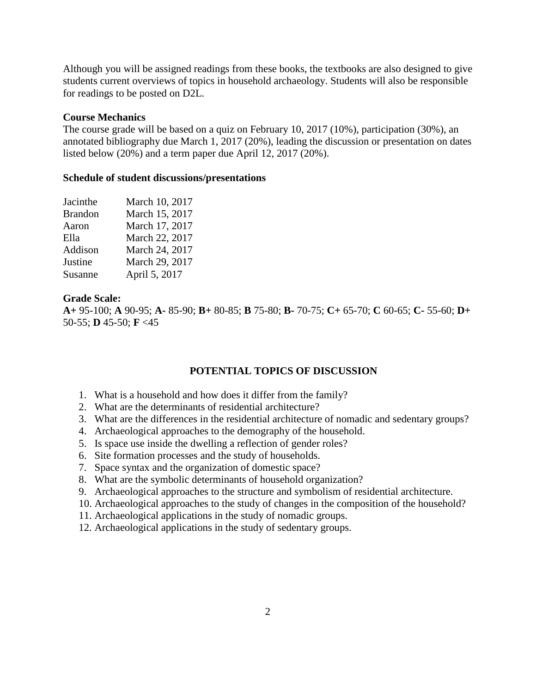Although you will be assigned readings from these books, the textbooks are also designed to give students current overviews of topics in household archaeology. Students will also be responsible for readings to be posted on D2L.

### **Course Mechanics**

The course grade will be based on a quiz on February 10, 2017 (10%), participation (30%), an annotated bibliography due March 1, 2017 (20%), leading the discussion or presentation on dates listed below (20%) and a term paper due April 12, 2017 (20%).

### **Schedule of student discussions/presentations**

| Jacinthe       | March 10, 2017 |
|----------------|----------------|
| <b>Brandon</b> | March 15, 2017 |
| Aaron          | March 17, 2017 |
| Ella           | March 22, 2017 |
| Addison        | March 24, 2017 |
| Justine        | March 29, 2017 |
| Susanne        | April 5, 2017  |

### **Grade Scale:**

**A+** 95-100; **A** 90-95; **A-** 85-90; **B+** 80-85; **B** 75-80; **B-** 70-75; **C+** 65-70; **C** 60-65; **C-** 55-60; **D+** 50-55; **D** 45-50; **F** <45

## **POTENTIAL TOPICS OF DISCUSSION**

- 1. What is a household and how does it differ from the family?
- 2. What are the determinants of residential architecture?
- 3. What are the differences in the residential architecture of nomadic and sedentary groups?
- 4. Archaeological approaches to the demography of the household.
- 5. Is space use inside the dwelling a reflection of gender roles?
- 6. Site formation processes and the study of households.
- 7. Space syntax and the organization of domestic space?
- 8. What are the symbolic determinants of household organization?
- 9. Archaeological approaches to the structure and symbolism of residential architecture.
- 10. Archaeological approaches to the study of changes in the composition of the household?
- 11. Archaeological applications in the study of nomadic groups.
- 12. Archaeological applications in the study of sedentary groups.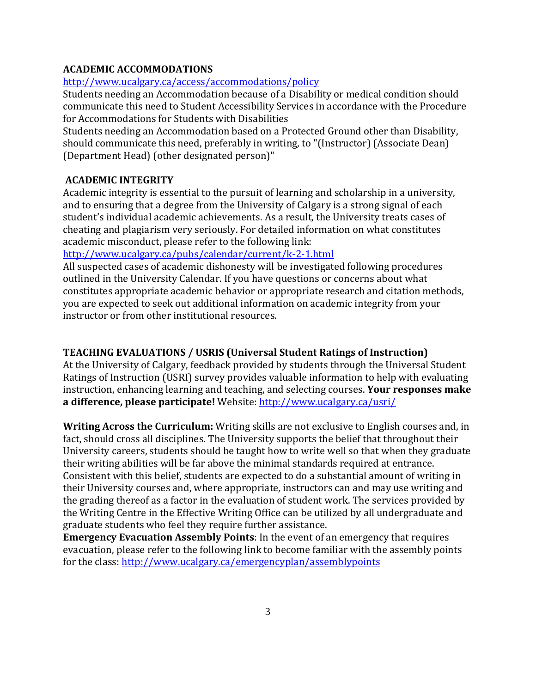# **ACADEMIC ACCOMMODATIONS**

# <http://www.ucalgary.ca/access/accommodations/policy>

Students needing an Accommodation because of a Disability or medical condition should communicate this need to Student Accessibility Services in accordance with the Procedure for Accommodations for Students with Disabilities

Students needing an Accommodation based on a Protected Ground other than Disability, should communicate this need, preferably in writing, to "(Instructor) (Associate Dean) (Department Head) (other designated person)"

# **ACADEMIC INTEGRITY**

Academic integrity is essential to the pursuit of learning and scholarship in a university, and to ensuring that a degree from the University of Calgary is a strong signal of each student's individual academic achievements. As a result, the University treats cases of cheating and plagiarism very seriously. For detailed information on what constitutes academic misconduct, please refer to the following link:

<http://www.ucalgary.ca/pubs/calendar/current/k-2-1.html>

All suspected cases of academic dishonesty will be investigated following procedures outlined in the University Calendar. If you have questions or concerns about what constitutes appropriate academic behavior or appropriate research and citation methods, you are expected to seek out additional information on academic integrity from your instructor or from other institutional resources.

# **TEACHING EVALUATIONS / USRIS (Universal Student Ratings of Instruction)**

At the University of Calgary, feedback provided by students through the Universal Student Ratings of Instruction (USRI) survey provides valuable information to help with evaluating instruction, enhancing learning and teaching, and selecting courses. **Your responses make a difference, please participate!** Website:<http://www.ucalgary.ca/usri/>

**Writing Across the Curriculum:** Writing skills are not exclusive to English courses and, in fact, should cross all disciplines. The University supports the belief that throughout their University careers, students should be taught how to write well so that when they graduate their writing abilities will be far above the minimal standards required at entrance. Consistent with this belief, students are expected to do a substantial amount of writing in their University courses and, where appropriate, instructors can and may use writing and the grading thereof as a factor in the evaluation of student work. The services provided by the Writing Centre in the Effective Writing Office can be utilized by all undergraduate and graduate students who feel they require further assistance.

**Emergency Evacuation Assembly Points**: In the event of an emergency that requires evacuation, please refer to the following link to become familiar with the assembly points for the class:<http://www.ucalgary.ca/emergencyplan/assemblypoints>